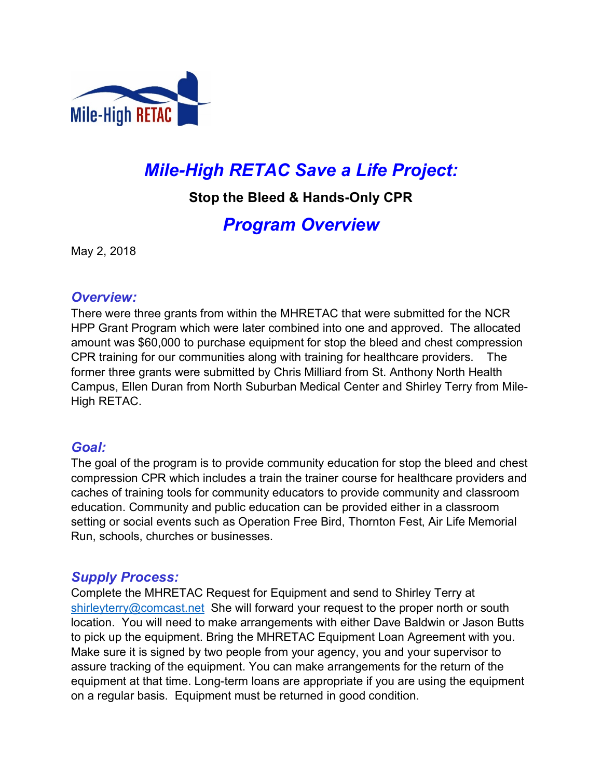

# *Mile-High RETAC Save a Life Project:*

**Stop the Bleed & Hands-Only CPR** 

# *Program Overview*

May 2, 2018

#### *Overview:*

There were three grants from within the MHRETAC that were submitted for the NCR HPP Grant Program which were later combined into one and approved. The allocated amount was \$60,000 to purchase equipment for stop the bleed and chest compression CPR training for our communities along with training for healthcare providers. The former three grants were submitted by Chris Milliard from St. Anthony North Health Campus, Ellen Duran from North Suburban Medical Center and Shirley Terry from Mile-High RETAC.

### *Goal:*

The goal of the program is to provide community education for stop the bleed and chest compression CPR which includes a train the trainer course for healthcare providers and caches of training tools for community educators to provide community and classroom education. Community and public education can be provided either in a classroom setting or social events such as Operation Free Bird, Thornton Fest, Air Life Memorial Run, schools, churches or businesses.

# *Supply Process:*

Complete the MHRETAC Request for Equipment and send to Shirley Terry at shirleyterry@comcast.net She will forward your request to the proper north or south location. You will need to make arrangements with either Dave Baldwin or Jason Butts to pick up the equipment. Bring the MHRETAC Equipment Loan Agreement with you. Make sure it is signed by two people from your agency, you and your supervisor to assure tracking of the equipment. You can make arrangements for the return of the equipment at that time. Long-term loans are appropriate if you are using the equipment on a regular basis. Equipment must be returned in good condition.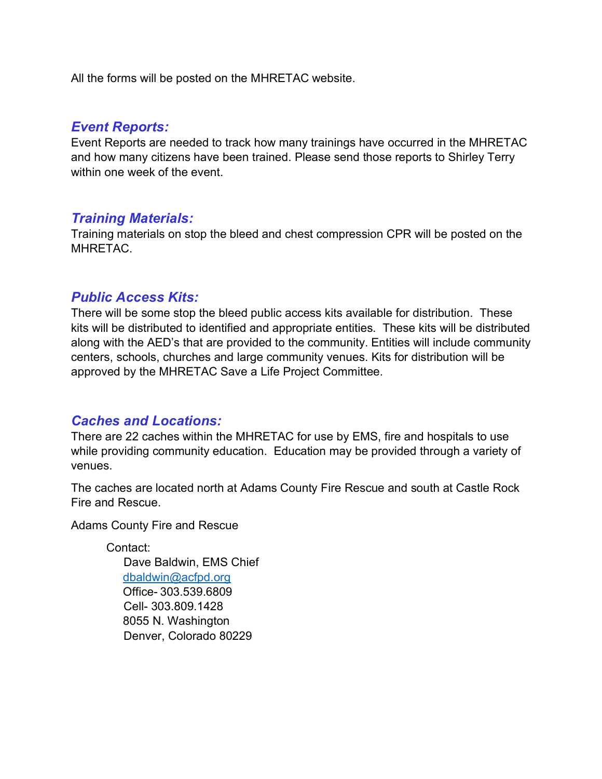All the forms will be posted on the MHRETAC website.

#### *Event Reports:*

Event Reports are needed to track how many trainings have occurred in the MHRETAC and how many citizens have been trained. Please send those reports to Shirley Terry within one week of the event.

### *Training Materials:*

Training materials on stop the bleed and chest compression CPR will be posted on the MHRETAC.

### *Public Access Kits:*

There will be some stop the bleed public access kits available for distribution. These kits will be distributed to identified and appropriate entities. These kits will be distributed along with the AED's that are provided to the community. Entities will include community centers, schools, churches and large community venues. Kits for distribution will be approved by the MHRETAC Save a Life Project Committee.

# *Caches and Locations:*

There are 22 caches within the MHRETAC for use by EMS, fire and hospitals to use while providing community education. Education may be provided through a variety of venues.

The caches are located north at Adams County Fire Rescue and south at Castle Rock Fire and Rescue.

Adams County Fire and Rescue

Contact: Dave Baldwin, EMS Chief dbaldwin@acfpd.org Office- 303.539.6809 Cell- 303.809.1428 8055 N. Washington Denver, Colorado 80229